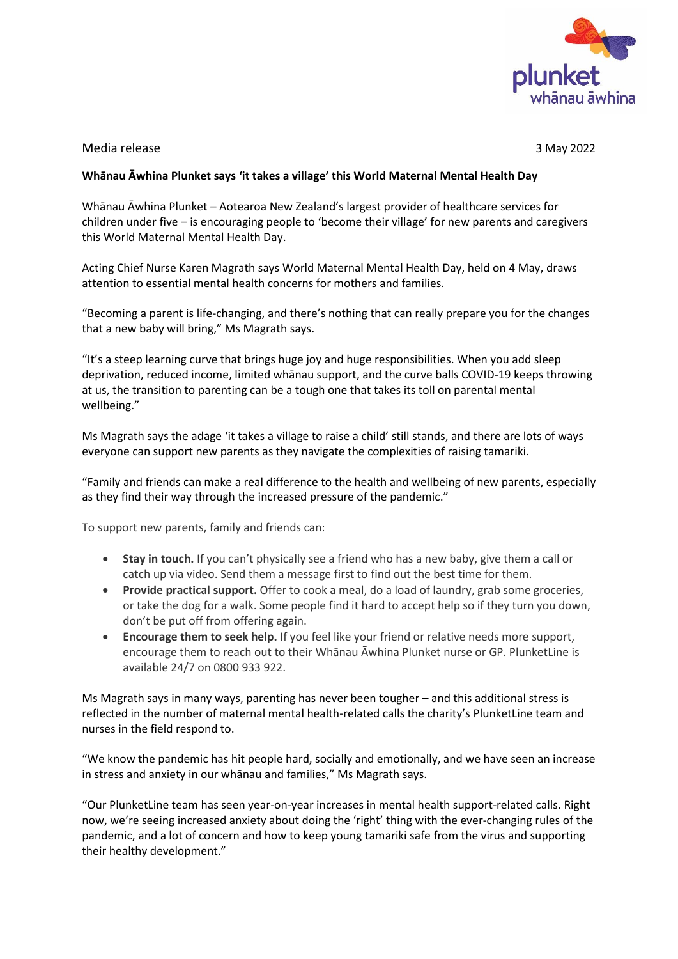

## Media release 3 May 2022

## **Whānau Āwhina Plunket says 'it takes a village' this World Maternal Mental Health Day**

Whānau Āwhina Plunket – Aotearoa New Zealand's largest provider of healthcare services for children under five – is encouraging people to 'become their village' for new parents and caregivers this World Maternal Mental Health Day.

Acting Chief Nurse Karen Magrath says World Maternal Mental Health Day, held on 4 May, draws attention to essential mental health concerns for mothers and families.

"Becoming a parent is life-changing, and there's nothing that can really prepare you for the changes that a new baby will bring," Ms Magrath says.

"It's a steep learning curve that brings huge joy and huge responsibilities. When you add sleep deprivation, reduced income, limited whānau support, and the curve balls COVID-19 keeps throwing at us, the transition to parenting can be a tough one that takes its toll on parental mental wellbeing."

Ms Magrath says the adage 'it takes a village to raise a child' still stands, and there are lots of ways everyone can support new parents as they navigate the complexities of raising tamariki.

"Family and friends can make a real difference to the health and wellbeing of new parents, especially as they find their way through the increased pressure of the pandemic."

To support new parents, family and friends can:

- **Stay in touch.** If you can't physically see a friend who has a new baby, give them a call or catch up via video. Send them a message first to find out the best time for them.
- **Provide practical support.** Offer to cook a meal, do a load of laundry, grab some groceries, or take the dog for a walk. Some people find it hard to accept help so if they turn you down, don't be put off from offering again.
- **Encourage them to seek help.** If you feel like your friend or relative needs more support, encourage them to reach out to their Whānau Āwhina Plunket nurse or GP. PlunketLine is available 24/7 on 0800 933 922.

Ms Magrath says in many ways, parenting has never been tougher – and this additional stress is reflected in the number of maternal mental health-related calls the charity's PlunketLine team and nurses in the field respond to.

"We know the pandemic has hit people hard, socially and emotionally, and we have seen an increase in stress and anxiety in our whānau and families," Ms Magrath says.

"Our PlunketLine team has seen year-on-year increases in mental health support-related calls. Right now, we're seeing increased anxiety about doing the 'right' thing with the ever-changing rules of the pandemic, and a lot of concern and how to keep young tamariki safe from the virus and supporting their healthy development."